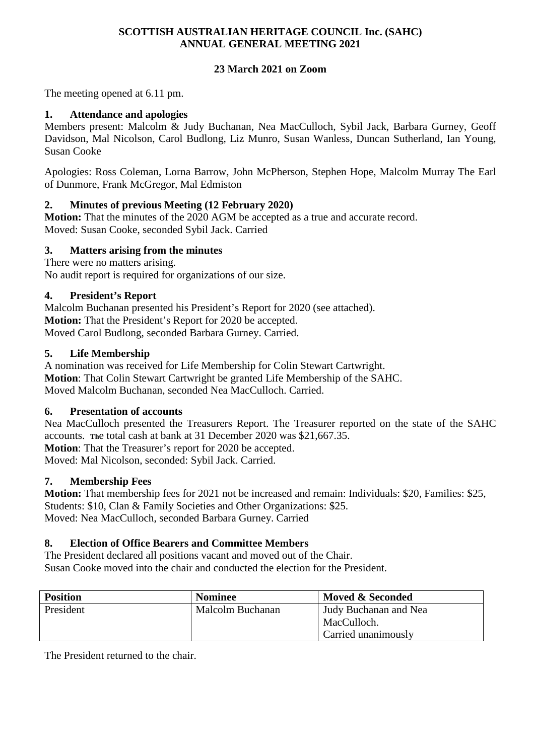#### **SCOTTISH AUSTRALIAN HERITAGE COUNCIL Inc. (SAHC) ANNUAL GENERAL MEETING 2021**

# **23 March 2021 on Zoom**

The meeting opened at 6.11 pm.

# **1. Attendance and apologies**

Members present: Malcolm & Judy Buchanan, Nea MacCulloch, Sybil Jack, Barbara Gurney, Geoff Davidson, Mal Nicolson, Carol Budlong, Liz Munro, Susan Wanless, Duncan Sutherland, Ian Young, Susan Cooke

Apologies: Ross Coleman, Lorna Barrow, John McPherson, Stephen Hope, Malcolm Murray The Earl of Dunmore, Frank McGregor, Mal Edmiston

## **2. Minutes of previous Meeting (12 February 2020)**

**Motion:** That the minutes of the 2020 AGM be accepted as a true and accurate record. Moved: Susan Cooke, seconded Sybil Jack. Carried

### **3. Matters arising from the minutes**

There were no matters arising.

No audit report is required for organizations of our size.

### **4. President's Report**

Malcolm Buchanan presented his President's Report for 2020 (see attached). **Motion:** That the President's Report for 2020 be accepted. Moved Carol Budlong, seconded Barbara Gurney. Carried.

### **5. Life Membership**

A nomination was received for Life Membership for Colin Stewart Cartwright. **Motion**: That Colin Stewart Cartwright be granted Life Membership of the SAHC. Moved Malcolm Buchanan, seconded Nea MacCulloch. Carried.

### **6. Presentation of accounts**

Nea MacCulloch presented the Treasurers Report. The Treasurer reported on the state of the SAHC accounts. **Th**e total cash at bank at 31 December 2020 was \$21,667.35.

**Motion**: That the Treasurer's report for 2020 be accepted.

Moved: Mal Nicolson, seconded: Sybil Jack. Carried.

### **7. Membership Fees**

**Motion:** That membership fees for 2021 not be increased and remain: Individuals: \$20, Families: \$25, Students: \$10, Clan & Family Societies and Other Organizations: \$25. Moved: Nea MacCulloch, seconded Barbara Gurney. Carried

### **8. Election of Office Bearers and Committee Members**

The President declared all positions vacant and moved out of the Chair. Susan Cooke moved into the chair and conducted the election for the President.

| <b>Position</b> | <b>Nominee</b>   | Moved & Seconded      |
|-----------------|------------------|-----------------------|
| President       | Malcolm Buchanan | Judy Buchanan and Nea |
|                 |                  | MacCulloch.           |
|                 |                  | Carried unanimously   |

The President returned to the chair.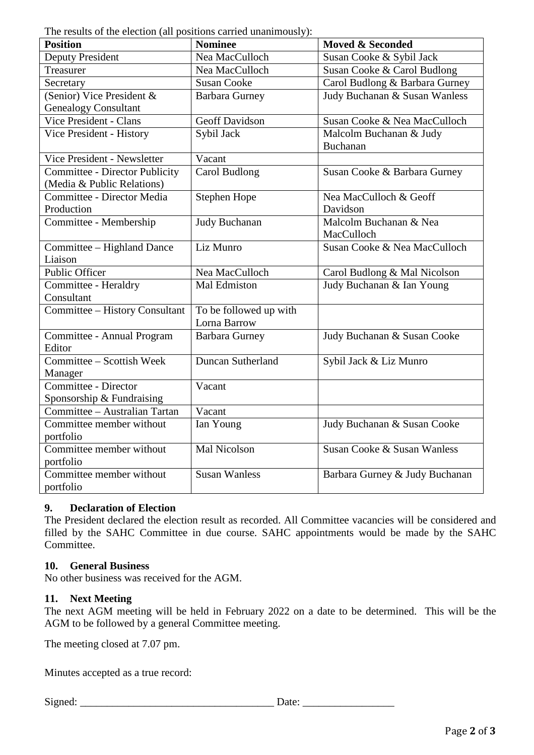The results of the election (all positions carried unanimously):

| rue results of the election (an positions carried unanimously).<br><b>Position</b> | <b>Nominee</b>         | <b>Moved &amp; Seconded</b>    |
|------------------------------------------------------------------------------------|------------------------|--------------------------------|
| <b>Deputy President</b>                                                            | Nea MacCulloch         | Susan Cooke & Sybil Jack       |
| Treasurer                                                                          | Nea MacCulloch         | Susan Cooke & Carol Budlong    |
| Secretary                                                                          | <b>Susan Cooke</b>     | Carol Budlong & Barbara Gurney |
| (Senior) Vice President &                                                          | <b>Barbara Gurney</b>  | Judy Buchanan & Susan Wanless  |
| <b>Genealogy Consultant</b>                                                        |                        |                                |
| Vice President - Clans                                                             | <b>Geoff Davidson</b>  | Susan Cooke & Nea MacCulloch   |
| Vice President - History                                                           | Sybil Jack             | Malcolm Buchanan & Judy        |
|                                                                                    |                        | Buchanan                       |
| Vice President - Newsletter                                                        | Vacant                 |                                |
| <b>Committee - Director Publicity</b>                                              | <b>Carol Budlong</b>   | Susan Cooke & Barbara Gurney   |
| (Media & Public Relations)                                                         |                        |                                |
| Committee - Director Media                                                         | Stephen Hope           | Nea MacCulloch & Geoff         |
| Production                                                                         |                        | Davidson                       |
| Committee - Membership                                                             | <b>Judy Buchanan</b>   | Malcolm Buchanan & Nea         |
|                                                                                    |                        | MacCulloch                     |
| Committee - Highland Dance                                                         | Liz Munro              | Susan Cooke & Nea MacCulloch   |
| Liaison                                                                            |                        |                                |
| Public Officer                                                                     | Nea MacCulloch         | Carol Budlong & Mal Nicolson   |
| Committee - Heraldry                                                               | Mal Edmiston           | Judy Buchanan & Ian Young      |
| Consultant                                                                         |                        |                                |
| Committee - History Consultant                                                     | To be followed up with |                                |
|                                                                                    | Lorna Barrow           |                                |
| Committee - Annual Program                                                         | <b>Barbara Gurney</b>  | Judy Buchanan & Susan Cooke    |
| Editor                                                                             |                        |                                |
| Committee - Scottish Week                                                          | Duncan Sutherland      | Sybil Jack & Liz Munro         |
| Manager                                                                            |                        |                                |
| Committee - Director                                                               | Vacant                 |                                |
| Sponsorship & Fundraising                                                          |                        |                                |
| Committee - Australian Tartan                                                      | Vacant                 |                                |
| Committee member without                                                           | Ian Young              | Judy Buchanan & Susan Cooke    |
| portfolio                                                                          |                        |                                |
| Committee member without                                                           | Mal Nicolson           | Susan Cooke & Susan Wanless    |
| portfolio                                                                          |                        |                                |
| Committee member without                                                           | <b>Susan Wanless</b>   | Barbara Gurney & Judy Buchanan |
| portfolio                                                                          |                        |                                |

# **9. Declaration of Election**

The President declared the election result as recorded. All Committee vacancies will be considered and filled by the SAHC Committee in due course. SAHC appointments would be made by the SAHC Committee.

### **10. General Business**

No other business was received for the AGM.

### **11. Next Meeting**

The next AGM meeting will be held in February 2022 on a date to be determined. This will be the AGM to be followed by a general Committee meeting.

The meeting closed at 7.07 pm.

Minutes accepted as a true record:

Signed: \_\_\_\_\_\_\_\_\_\_\_\_\_\_\_\_\_\_\_\_\_\_\_\_\_\_\_\_\_\_\_\_\_\_\_\_ Date: \_\_\_\_\_\_\_\_\_\_\_\_\_\_\_\_\_